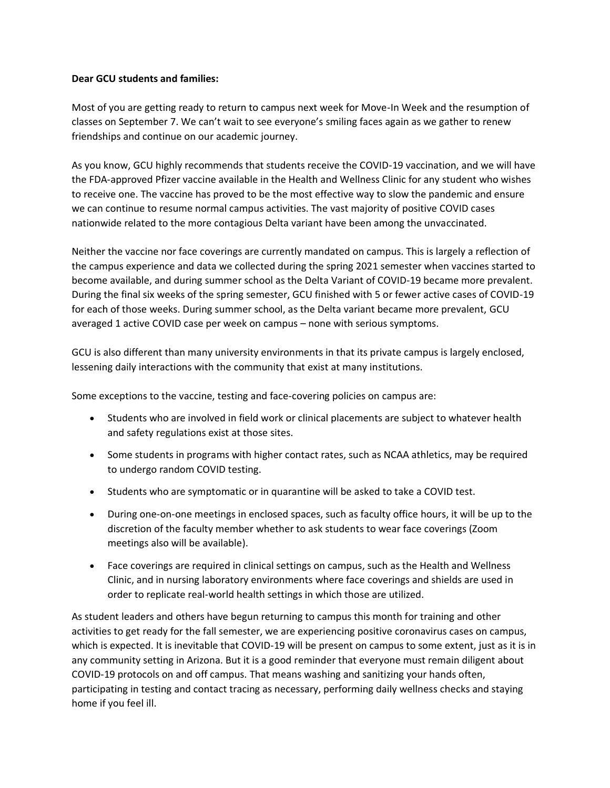## **Dear GCU students and families:**

Most of you are getting ready to return to campus next week for Move-In Week and the resumption of classes on September 7. We can't wait to see everyone's smiling faces again as we gather to renew friendships and continue on our academic journey.

As you know, GCU highly recommends that students receive the COVID-19 vaccination, and we will have the FDA-approved Pfizer vaccine available in the Health and Wellness Clinic for any student who wishes to receive one. The vaccine has proved to be the most effective way to slow the pandemic and ensure we can continue to resume normal campus activities. The vast majority of positive COVID cases nationwide related to the more contagious Delta variant have been among the unvaccinated.

Neither the vaccine nor face coverings are currently mandated on campus. This is largely a reflection of the campus experience and data we collected during the spring 2021 semester when vaccines started to become available, and during summer school as the Delta Variant of COVID-19 became more prevalent. During the final six weeks of the spring semester, GCU finished with 5 or fewer active cases of COVID-19 for each of those weeks. During summer school, as the Delta variant became more prevalent, GCU averaged 1 active COVID case per week on campus – none with serious symptoms.

GCU is also different than many university environments in that its private campus is largely enclosed, lessening daily interactions with the community that exist at many institutions.

Some exceptions to the vaccine, testing and face-covering policies on campus are:

- Students who are involved in field work or clinical placements are subject to whatever health and safety regulations exist at those sites.
- Some students in programs with higher contact rates, such as NCAA athletics, may be required to undergo random COVID testing.
- Students who are symptomatic or in quarantine will be asked to take a COVID test.
- During one-on-one meetings in enclosed spaces, such as faculty office hours, it will be up to the discretion of the faculty member whether to ask students to wear face coverings (Zoom meetings also will be available).
- Face coverings are required in clinical settings on campus, such as the Health and Wellness Clinic, and in nursing laboratory environments where face coverings and shields are used in order to replicate real-world health settings in which those are utilized.

As student leaders and others have begun returning to campus this month for training and other activities to get ready for the fall semester, we are experiencing positive coronavirus cases on campus, which is expected. It is inevitable that COVID-19 will be present on campus to some extent, just as it is in any community setting in Arizona. But it is a good reminder that everyone must remain diligent about COVID-19 protocols on and off campus. That means washing and sanitizing your hands often, participating in testing and contact tracing as necessary, performing daily wellness checks and staying home if you feel ill.